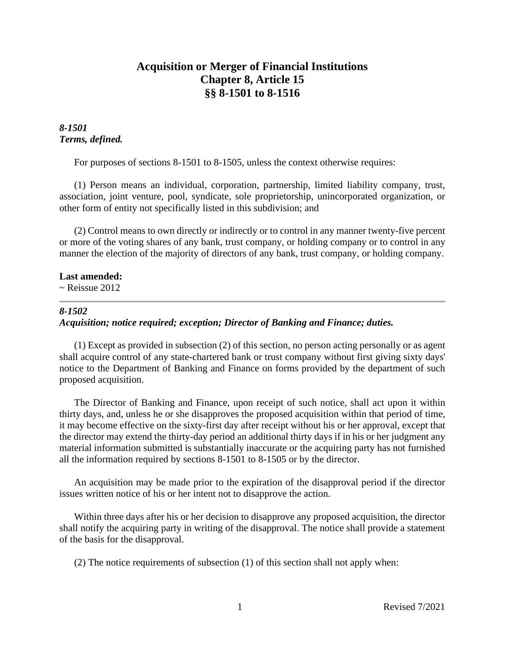# **Acquisition or Merger of Financial Institutions Chapter 8, Article 15 §§ 8-1501 to 8-1516**

# *8-1501 Terms, defined.*

For purposes of sections 8-1501 to 8-1505, unless the context otherwise requires:

(1) Person means an individual, corporation, partnership, limited liability company, trust, association, joint venture, pool, syndicate, sole proprietorship, unincorporated organization, or other form of entity not specifically listed in this subdivision; and

(2) Control means to own directly or indirectly or to control in any manner twenty-five percent or more of the voting shares of any bank, trust company, or holding company or to control in any manner the election of the majority of directors of any bank, trust company, or holding company.

## **Last amended:**

 $\sim$  Reissue 2012

## *8-1502*

# *Acquisition; notice required; exception; Director of Banking and Finance; duties.*

(1) Except as provided in subsection (2) of this section, no person acting personally or as agent shall acquire control of any state-chartered bank or trust company without first giving sixty days' notice to the Department of Banking and Finance on forms provided by the department of such proposed acquisition.

The Director of Banking and Finance, upon receipt of such notice, shall act upon it within thirty days, and, unless he or she disapproves the proposed acquisition within that period of time, it may become effective on the sixty-first day after receipt without his or her approval, except that the director may extend the thirty-day period an additional thirty days if in his or her judgment any material information submitted is substantially inaccurate or the acquiring party has not furnished all the information required by sections 8-1501 to 8-1505 or by the director.

An acquisition may be made prior to the expiration of the disapproval period if the director issues written notice of his or her intent not to disapprove the action.

Within three days after his or her decision to disapprove any proposed acquisition, the director shall notify the acquiring party in writing of the disapproval. The notice shall provide a statement of the basis for the disapproval.

(2) The notice requirements of subsection (1) of this section shall not apply when: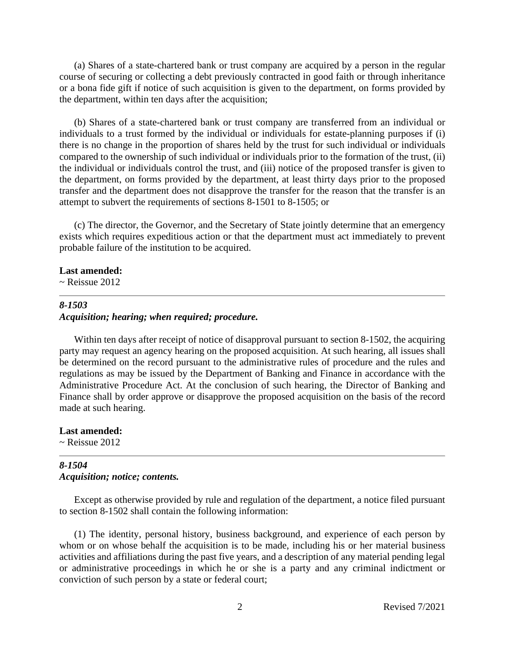(a) Shares of a state-chartered bank or trust company are acquired by a person in the regular course of securing or collecting a debt previously contracted in good faith or through inheritance or a bona fide gift if notice of such acquisition is given to the department, on forms provided by the department, within ten days after the acquisition;

(b) Shares of a state-chartered bank or trust company are transferred from an individual or individuals to a trust formed by the individual or individuals for estate-planning purposes if (i) there is no change in the proportion of shares held by the trust for such individual or individuals compared to the ownership of such individual or individuals prior to the formation of the trust, (ii) the individual or individuals control the trust, and (iii) notice of the proposed transfer is given to the department, on forms provided by the department, at least thirty days prior to the proposed transfer and the department does not disapprove the transfer for the reason that the transfer is an attempt to subvert the requirements of sections 8-1501 to 8-1505; or

(c) The director, the Governor, and the Secretary of State jointly determine that an emergency exists which requires expeditious action or that the department must act immediately to prevent probable failure of the institution to be acquired.

#### **Last amended:**

 $\sim$  Reissue 2012

## *8-1503 Acquisition; hearing; when required; procedure.*

Within ten days after receipt of notice of disapproval pursuant to section 8-1502, the acquiring party may request an agency hearing on the proposed acquisition. At such hearing, all issues shall be determined on the record pursuant to the administrative rules of procedure and the rules and regulations as may be issued by the Department of Banking and Finance in accordance with the Administrative Procedure Act. At the conclusion of such hearing, the Director of Banking and Finance shall by order approve or disapprove the proposed acquisition on the basis of the record made at such hearing.

**Last amended:**  $\sim$  Reissue 2012

## *8-1504 Acquisition; notice; contents.*

Except as otherwise provided by rule and regulation of the department, a notice filed pursuant to section 8-1502 shall contain the following information:

(1) The identity, personal history, business background, and experience of each person by whom or on whose behalf the acquisition is to be made, including his or her material business activities and affiliations during the past five years, and a description of any material pending legal or administrative proceedings in which he or she is a party and any criminal indictment or conviction of such person by a state or federal court;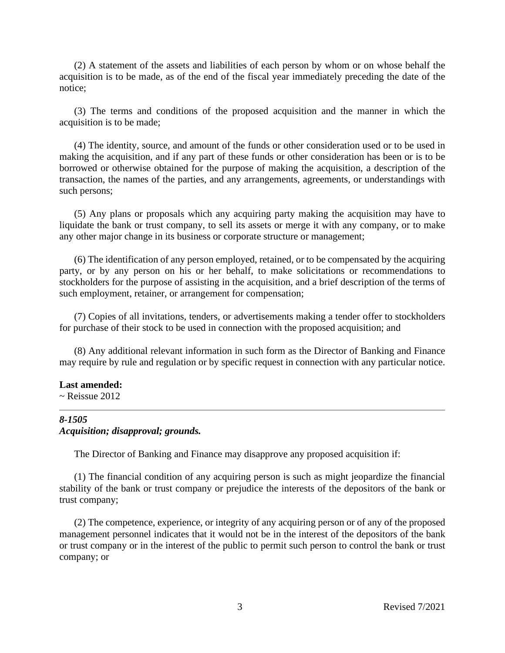(2) A statement of the assets and liabilities of each person by whom or on whose behalf the acquisition is to be made, as of the end of the fiscal year immediately preceding the date of the notice;

(3) The terms and conditions of the proposed acquisition and the manner in which the acquisition is to be made;

(4) The identity, source, and amount of the funds or other consideration used or to be used in making the acquisition, and if any part of these funds or other consideration has been or is to be borrowed or otherwise obtained for the purpose of making the acquisition, a description of the transaction, the names of the parties, and any arrangements, agreements, or understandings with such persons;

(5) Any plans or proposals which any acquiring party making the acquisition may have to liquidate the bank or trust company, to sell its assets or merge it with any company, or to make any other major change in its business or corporate structure or management;

(6) The identification of any person employed, retained, or to be compensated by the acquiring party, or by any person on his or her behalf, to make solicitations or recommendations to stockholders for the purpose of assisting in the acquisition, and a brief description of the terms of such employment, retainer, or arrangement for compensation;

(7) Copies of all invitations, tenders, or advertisements making a tender offer to stockholders for purchase of their stock to be used in connection with the proposed acquisition; and

(8) Any additional relevant information in such form as the Director of Banking and Finance may require by rule and regulation or by specific request in connection with any particular notice.

## **Last amended:**

 $\sim$  Reissue 2012

## *8-1505 Acquisition; disapproval; grounds.*

The Director of Banking and Finance may disapprove any proposed acquisition if:

(1) The financial condition of any acquiring person is such as might jeopardize the financial stability of the bank or trust company or prejudice the interests of the depositors of the bank or trust company;

(2) The competence, experience, or integrity of any acquiring person or of any of the proposed management personnel indicates that it would not be in the interest of the depositors of the bank or trust company or in the interest of the public to permit such person to control the bank or trust company; or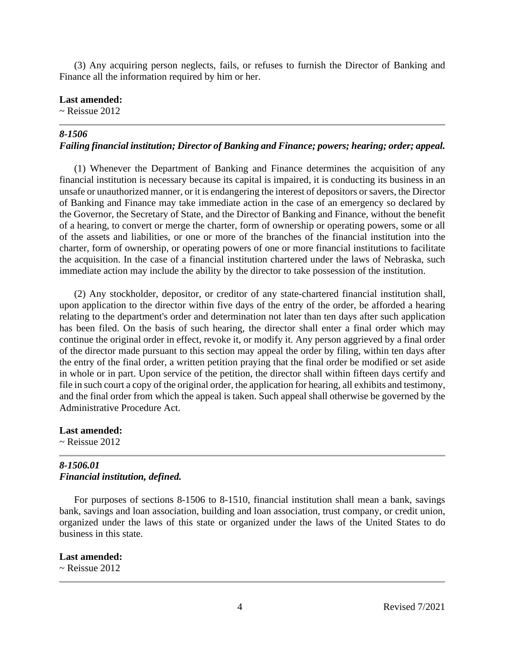(3) Any acquiring person neglects, fails, or refuses to furnish the Director of Banking and Finance all the information required by him or her.

### **Last amended:**

 $\sim$  Reissue 2012

## *8-1506*

## *Failing financial institution; Director of Banking and Finance; powers; hearing; order; appeal.*

(1) Whenever the Department of Banking and Finance determines the acquisition of any financial institution is necessary because its capital is impaired, it is conducting its business in an unsafe or unauthorized manner, or it is endangering the interest of depositors or savers, the Director of Banking and Finance may take immediate action in the case of an emergency so declared by the Governor, the Secretary of State, and the Director of Banking and Finance, without the benefit of a hearing, to convert or merge the charter, form of ownership or operating powers, some or all of the assets and liabilities, or one or more of the branches of the financial institution into the charter, form of ownership, or operating powers of one or more financial institutions to facilitate the acquisition. In the case of a financial institution chartered under the laws of Nebraska, such immediate action may include the ability by the director to take possession of the institution.

(2) Any stockholder, depositor, or creditor of any state-chartered financial institution shall, upon application to the director within five days of the entry of the order, be afforded a hearing relating to the department's order and determination not later than ten days after such application has been filed. On the basis of such hearing, the director shall enter a final order which may continue the original order in effect, revoke it, or modify it. Any person aggrieved by a final order of the director made pursuant to this section may appeal the order by filing, within ten days after the entry of the final order, a written petition praying that the final order be modified or set aside in whole or in part. Upon service of the petition, the director shall within fifteen days certify and file in such court a copy of the original order, the application for hearing, all exhibits and testimony, and the final order from which the appeal is taken. Such appeal shall otherwise be governed by the Administrative Procedure Act.

**Last amended:**  $\sim$  Reissue 2012

# *8-1506.01 Financial institution, defined.*

For purposes of sections 8-1506 to 8-1510, financial institution shall mean a bank, savings bank, savings and loan association, building and loan association, trust company, or credit union, organized under the laws of this state or organized under the laws of the United States to do business in this state.

### **Last amended:**

 $\sim$  Reissue 2012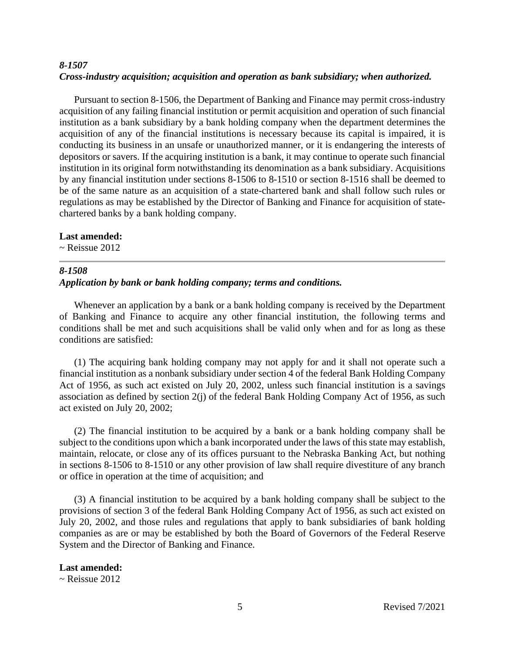# *8-1507 Cross-industry acquisition; acquisition and operation as bank subsidiary; when authorized.*

Pursuant to section 8-1506, the Department of Banking and Finance may permit cross-industry acquisition of any failing financial institution or permit acquisition and operation of such financial institution as a bank subsidiary by a bank holding company when the department determines the acquisition of any of the financial institutions is necessary because its capital is impaired, it is conducting its business in an unsafe or unauthorized manner, or it is endangering the interests of depositors or savers. If the acquiring institution is a bank, it may continue to operate such financial institution in its original form notwithstanding its denomination as a bank subsidiary. Acquisitions by any financial institution under sections 8-1506 to 8-1510 or section 8-1516 shall be deemed to be of the same nature as an acquisition of a state-chartered bank and shall follow such rules or regulations as may be established by the Director of Banking and Finance for acquisition of statechartered banks by a bank holding company.

## **Last amended:**

 $\sim$  Reissue 2012

# *8-1508 Application by bank or bank holding company; terms and conditions.*

Whenever an application by a bank or a bank holding company is received by the Department of Banking and Finance to acquire any other financial institution, the following terms and conditions shall be met and such acquisitions shall be valid only when and for as long as these conditions are satisfied:

(1) The acquiring bank holding company may not apply for and it shall not operate such a financial institution as a nonbank subsidiary under section 4 of the federal Bank Holding Company Act of 1956, as such act existed on July 20, 2002, unless such financial institution is a savings association as defined by section 2(j) of the federal Bank Holding Company Act of 1956, as such act existed on July 20, 2002;

(2) The financial institution to be acquired by a bank or a bank holding company shall be subject to the conditions upon which a bank incorporated under the laws of this state may establish, maintain, relocate, or close any of its offices pursuant to the Nebraska Banking Act, but nothing in sections 8-1506 to 8-1510 or any other provision of law shall require divestiture of any branch or office in operation at the time of acquisition; and

(3) A financial institution to be acquired by a bank holding company shall be subject to the provisions of section 3 of the federal Bank Holding Company Act of 1956, as such act existed on July 20, 2002, and those rules and regulations that apply to bank subsidiaries of bank holding companies as are or may be established by both the Board of Governors of the Federal Reserve System and the Director of Banking and Finance.

### **Last amended:**

 $\sim$  Reissue 2012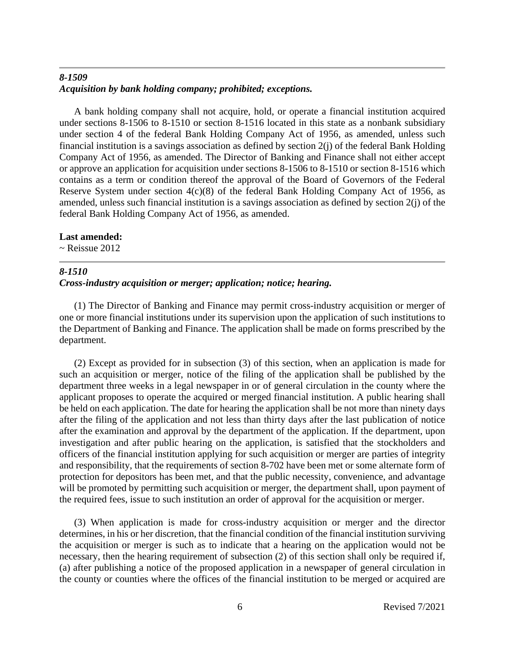# *8-1509 Acquisition by bank holding company; prohibited; exceptions.*

A bank holding company shall not acquire, hold, or operate a financial institution acquired under sections 8-1506 to 8-1510 or section 8-1516 located in this state as a nonbank subsidiary under section 4 of the federal Bank Holding Company Act of 1956, as amended, unless such financial institution is a savings association as defined by section 2(j) of the federal Bank Holding Company Act of 1956, as amended. The Director of Banking and Finance shall not either accept or approve an application for acquisition under sections 8-1506 to 8-1510 or section 8-1516 which contains as a term or condition thereof the approval of the Board of Governors of the Federal Reserve System under section 4(c)(8) of the federal Bank Holding Company Act of 1956, as amended, unless such financial institution is a savings association as defined by section 2(j) of the federal Bank Holding Company Act of 1956, as amended.

## **Last amended:**

 $\sim$  Reissue 2012

### *8-1510 Cross-industry acquisition or merger; application; notice; hearing.*

(1) The Director of Banking and Finance may permit cross-industry acquisition or merger of one or more financial institutions under its supervision upon the application of such institutions to the Department of Banking and Finance. The application shall be made on forms prescribed by the department.

(2) Except as provided for in subsection (3) of this section, when an application is made for such an acquisition or merger, notice of the filing of the application shall be published by the department three weeks in a legal newspaper in or of general circulation in the county where the applicant proposes to operate the acquired or merged financial institution. A public hearing shall be held on each application. The date for hearing the application shall be not more than ninety days after the filing of the application and not less than thirty days after the last publication of notice after the examination and approval by the department of the application. If the department, upon investigation and after public hearing on the application, is satisfied that the stockholders and officers of the financial institution applying for such acquisition or merger are parties of integrity and responsibility, that the requirements of section 8-702 have been met or some alternate form of protection for depositors has been met, and that the public necessity, convenience, and advantage will be promoted by permitting such acquisition or merger, the department shall, upon payment of the required fees, issue to such institution an order of approval for the acquisition or merger.

(3) When application is made for cross-industry acquisition or merger and the director determines, in his or her discretion, that the financial condition of the financial institution surviving the acquisition or merger is such as to indicate that a hearing on the application would not be necessary, then the hearing requirement of subsection (2) of this section shall only be required if, (a) after publishing a notice of the proposed application in a newspaper of general circulation in the county or counties where the offices of the financial institution to be merged or acquired are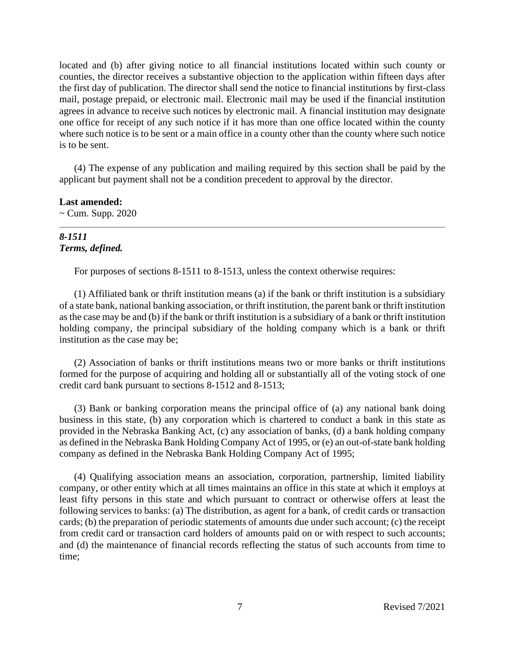located and (b) after giving notice to all financial institutions located within such county or counties, the director receives a substantive objection to the application within fifteen days after the first day of publication. The director shall send the notice to financial institutions by first-class mail, postage prepaid, or electronic mail. Electronic mail may be used if the financial institution agrees in advance to receive such notices by electronic mail. A financial institution may designate one office for receipt of any such notice if it has more than one office located within the county where such notice is to be sent or a main office in a county other than the county where such notice is to be sent.

(4) The expense of any publication and mailing required by this section shall be paid by the applicant but payment shall not be a condition precedent to approval by the director.

**Last amended:**  $\sim$  Cum. Supp. 2020

# *8-1511 Terms, defined.*

For purposes of sections 8-1511 to 8-1513, unless the context otherwise requires:

(1) Affiliated bank or thrift institution means (a) if the bank or thrift institution is a subsidiary of a state bank, national banking association, or thrift institution, the parent bank or thrift institution as the case may be and (b) if the bank or thrift institution is a subsidiary of a bank or thrift institution holding company, the principal subsidiary of the holding company which is a bank or thrift institution as the case may be;

(2) Association of banks or thrift institutions means two or more banks or thrift institutions formed for the purpose of acquiring and holding all or substantially all of the voting stock of one credit card bank pursuant to sections 8-1512 and 8-1513;

(3) Bank or banking corporation means the principal office of (a) any national bank doing business in this state, (b) any corporation which is chartered to conduct a bank in this state as provided in the Nebraska Banking Act, (c) any association of banks, (d) a bank holding company as defined in the Nebraska Bank Holding Company Act of 1995, or (e) an out-of-state bank holding company as defined in the Nebraska Bank Holding Company Act of 1995;

(4) Qualifying association means an association, corporation, partnership, limited liability company, or other entity which at all times maintains an office in this state at which it employs at least fifty persons in this state and which pursuant to contract or otherwise offers at least the following services to banks: (a) The distribution, as agent for a bank, of credit cards or transaction cards; (b) the preparation of periodic statements of amounts due under such account; (c) the receipt from credit card or transaction card holders of amounts paid on or with respect to such accounts; and (d) the maintenance of financial records reflecting the status of such accounts from time to time;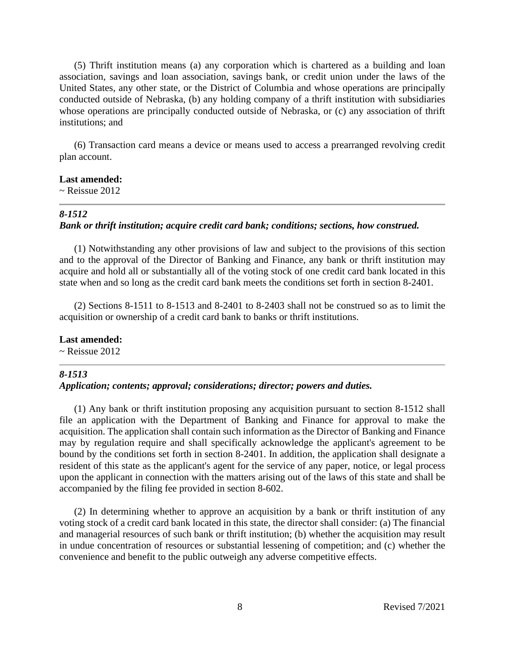(5) Thrift institution means (a) any corporation which is chartered as a building and loan association, savings and loan association, savings bank, or credit union under the laws of the United States, any other state, or the District of Columbia and whose operations are principally conducted outside of Nebraska, (b) any holding company of a thrift institution with subsidiaries whose operations are principally conducted outside of Nebraska, or (c) any association of thrift institutions; and

(6) Transaction card means a device or means used to access a prearranged revolving credit plan account.

#### **Last amended:**

 $\sim$  Reissue 2012

#### *8-1512*

#### *Bank or thrift institution; acquire credit card bank; conditions; sections, how construed.*

(1) Notwithstanding any other provisions of law and subject to the provisions of this section and to the approval of the Director of Banking and Finance, any bank or thrift institution may acquire and hold all or substantially all of the voting stock of one credit card bank located in this state when and so long as the credit card bank meets the conditions set forth in section 8-2401.

(2) Sections 8-1511 to 8-1513 and 8-2401 to 8-2403 shall not be construed so as to limit the acquisition or ownership of a credit card bank to banks or thrift institutions.

#### **Last amended:**

 $\sim$  Reissue 2012

#### *8-1513*

#### *Application; contents; approval; considerations; director; powers and duties.*

(1) Any bank or thrift institution proposing any acquisition pursuant to section 8-1512 shall file an application with the Department of Banking and Finance for approval to make the acquisition. The application shall contain such information as the Director of Banking and Finance may by regulation require and shall specifically acknowledge the applicant's agreement to be bound by the conditions set forth in section 8-2401. In addition, the application shall designate a resident of this state as the applicant's agent for the service of any paper, notice, or legal process upon the applicant in connection with the matters arising out of the laws of this state and shall be accompanied by the filing fee provided in section 8-602.

(2) In determining whether to approve an acquisition by a bank or thrift institution of any voting stock of a credit card bank located in this state, the director shall consider: (a) The financial and managerial resources of such bank or thrift institution; (b) whether the acquisition may result in undue concentration of resources or substantial lessening of competition; and (c) whether the convenience and benefit to the public outweigh any adverse competitive effects.